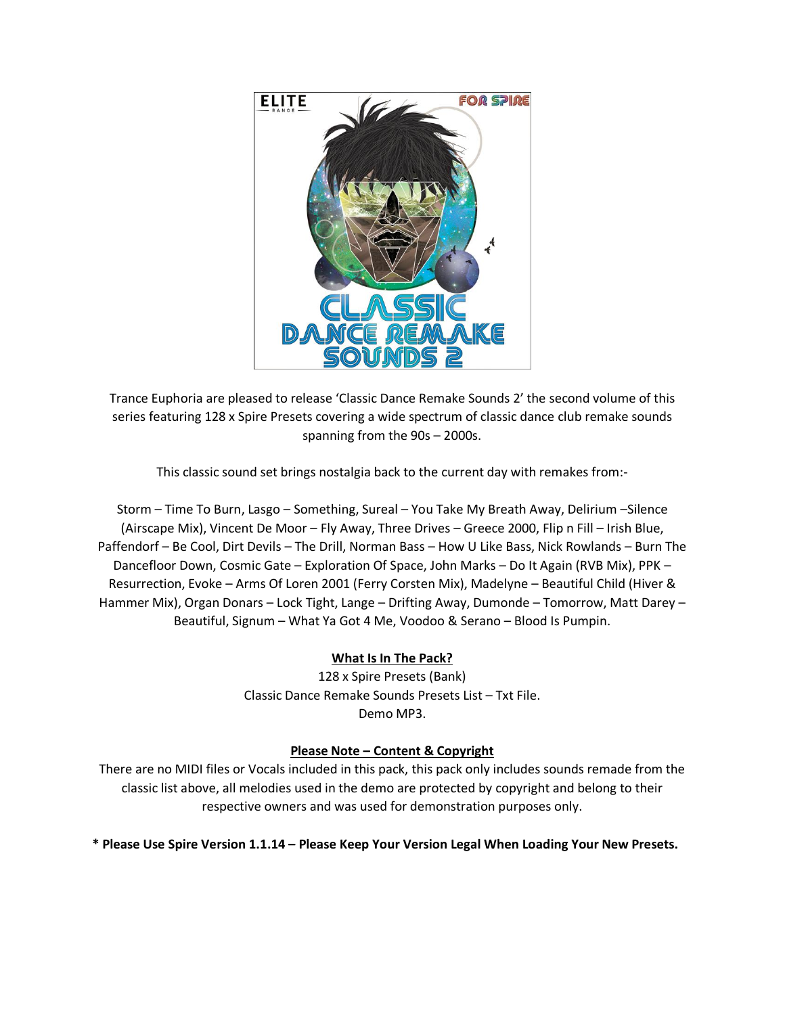

Trance Euphoria are pleased to release 'Classic Dance Remake Sounds 2' the second volume of this series featuring 128 x Spire Presets covering a wide spectrum of classic dance club remake sounds spanning from the 90s – 2000s.

This classic sound set brings nostalgia back to the current day with remakes from:-

Storm – Time To Burn, Lasgo – Something, Sureal – You Take My Breath Away, Delirium –Silence (Airscape Mix), Vincent De Moor – Fly Away, Three Drives – Greece 2000, Flip n Fill – Irish Blue, Paffendorf – Be Cool, Dirt Devils – The Drill, Norman Bass – How U Like Bass, Nick Rowlands – Burn The Dancefloor Down, Cosmic Gate – Exploration Of Space, John Marks – Do It Again (RVB Mix), PPK – Resurrection, Evoke – Arms Of Loren 2001 (Ferry Corsten Mix), Madelyne – Beautiful Child (Hiver & Hammer Mix), Organ Donars – Lock Tight, Lange – Drifting Away, Dumonde – Tomorrow, Matt Darey – Beautiful, Signum – What Ya Got 4 Me, Voodoo & Serano – Blood Is Pumpin.

## **What Is In The Pack?**

128 x Spire Presets (Bank) Classic Dance Remake Sounds Presets List – Txt File. Demo MP3.

## **Please Note – Content & Copyright**

There are no MIDI files or Vocals included in this pack, this pack only includes sounds remade from the classic list above, all melodies used in the demo are protected by copyright and belong to their respective owners and was used for demonstration purposes only.

**\* Please Use Spire Version 1.1.14 – Please Keep Your Version Legal When Loading Your New Presets.**